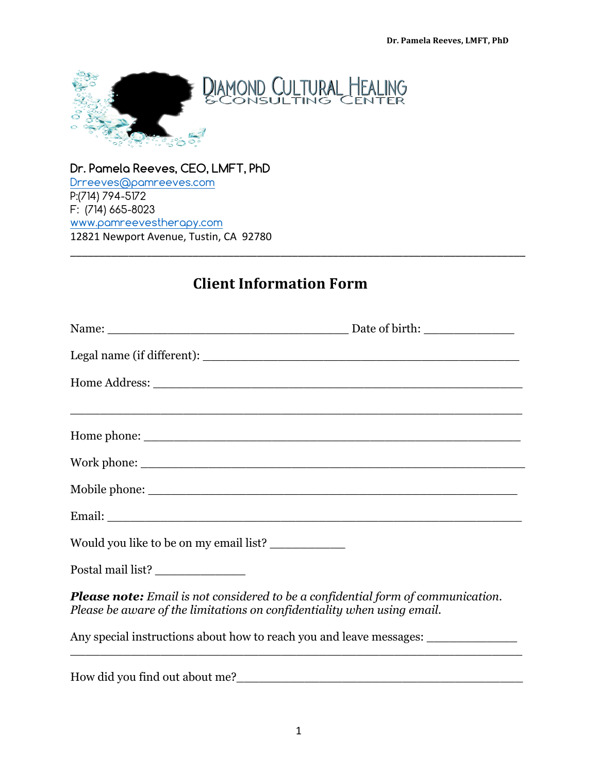

**Dr. Pamela Reeves, CEO, LMFT, PhD** Drreeves@pamreeves.com P:(714) 794-5172 F: (714) 665-8023 www.pamreevestherapy.com 12821 Newport Avenue, Tustin, CA 92780

## **Client Information Form**

\_\_\_\_\_\_\_\_\_\_\_\_\_\_\_\_\_\_\_\_\_\_\_\_\_\_\_\_\_\_\_\_\_\_\_\_\_\_\_\_\_\_\_\_\_\_\_\_\_\_\_\_\_\_\_\_\_\_\_\_\_\_\_\_\_\_\_\_\_\_\_\_\_\_\_\_\_\_

| Would you like to be on my email list?                                                                                                                             |                                                                                                                       |
|--------------------------------------------------------------------------------------------------------------------------------------------------------------------|-----------------------------------------------------------------------------------------------------------------------|
| Postal mail list? _________________                                                                                                                                |                                                                                                                       |
| <b>Please note:</b> Email is not considered to be a confidential form of communication.<br>Please be aware of the limitations on confidentiality when using email. |                                                                                                                       |
|                                                                                                                                                                    | Any special instructions about how to reach you and leave messages:                                                   |
|                                                                                                                                                                    | <u> 1989 - Johann John Stone, mars and de format de la provincia de la provincia de la provincia de la provincia </u> |

How did you find out about me?\_\_\_\_\_\_\_\_\_\_\_\_\_\_\_\_\_\_\_\_\_\_\_\_\_\_\_\_\_\_\_\_\_\_\_\_\_\_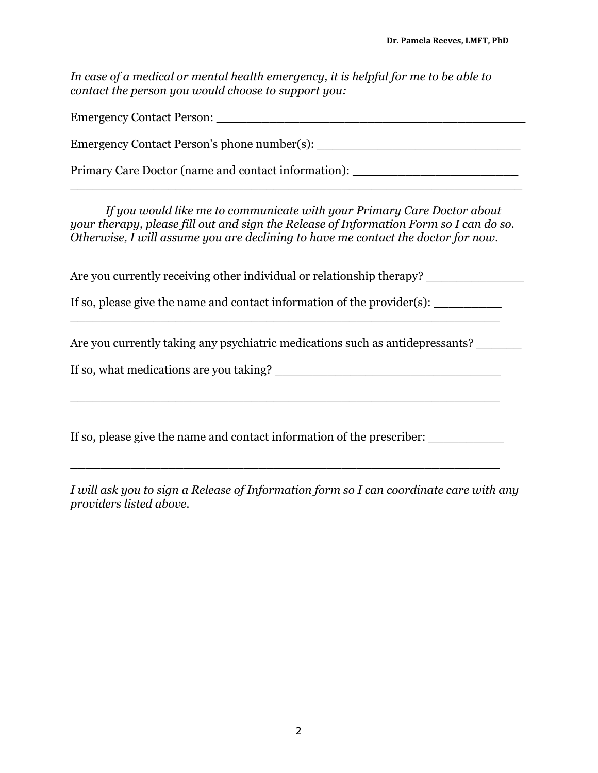*In case of a medical or mental health emergency, it is helpful for me to be able to contact the person you would choose to support you:* 

| <b>Emergency Contact Person:</b>            |
|---------------------------------------------|
| Emergency Contact Person's phone number(s): |

\_\_\_\_\_\_\_\_\_\_\_\_\_\_\_\_\_\_\_\_\_\_\_\_\_\_\_\_\_\_\_\_\_\_\_\_\_\_\_\_\_\_\_\_\_\_\_\_\_\_\_\_\_\_\_\_\_\_\_\_

Primary Care Doctor (name and contact information):

*If you would like me to communicate with your Primary Care Doctor about your therapy, please fill out and sign the Release of Information Form so I can do so. Otherwise, I will assume you are declining to have me contact the doctor for now.* 

Are you currently receiving other individual or relationship therapy?

If so, please give the name and contact information of the provider $(s)$ :

\_\_\_\_\_\_\_\_\_\_\_\_\_\_\_\_\_\_\_\_\_\_\_\_\_\_\_\_\_\_\_\_\_\_\_\_\_\_\_\_\_\_\_\_\_\_\_\_\_\_\_\_\_\_\_\_\_

Are you currently taking any psychiatric medications such as antidepressants?

If so, what medications are you taking?

If so, please give the name and contact information of the prescriber:

\_\_\_\_\_\_\_\_\_\_\_\_\_\_\_\_\_\_\_\_\_\_\_\_\_\_\_\_\_\_\_\_\_\_\_\_\_\_\_\_\_\_\_\_\_\_\_\_\_\_\_\_\_\_\_\_\_

\_\_\_\_\_\_\_\_\_\_\_\_\_\_\_\_\_\_\_\_\_\_\_\_\_\_\_\_\_\_\_\_\_\_\_\_\_\_\_\_\_\_\_\_\_\_\_\_\_\_\_\_\_\_\_\_\_

*I will ask you to sign a Release of Information form so I can coordinate care with any providers listed above.*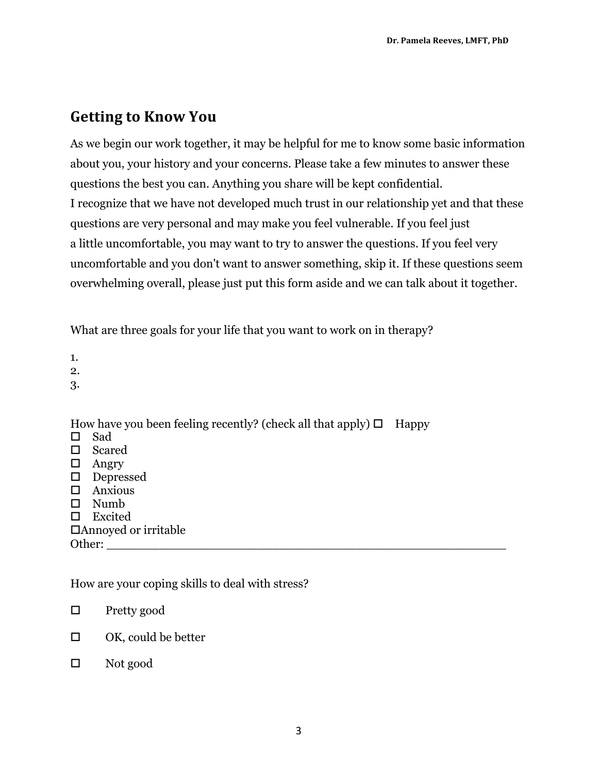## **Getting to Know You**

As we begin our work together, it may be helpful for me to know some basic information about you, your history and your concerns. Please take a few minutes to answer these questions the best you can. Anything you share will be kept confidential. I recognize that we have not developed much trust in our relationship yet and that these questions are very personal and may make you feel vulnerable. If you feel just a little uncomfortable, you may want to try to answer the questions. If you feel very uncomfortable and you don't want to answer something, skip it. If these questions seem overwhelming overall, please just put this form aside and we can talk about it together.

What are three goals for your life that you want to work on in therapy?

1.

2.

3.

How have you been feeling recently? (check all that apply)  $\Box$  Happy

 $\square$  Sad  $\square$  Scared  $\Box$  Angry  $\square$  Depressed  $\square$  Anxious  $\square$  Numb  $\square$  Excited  $\Box$ Annoyed or irritable Other:

How are your coping skills to deal with stress?

 $\Box$  Pretty good

 $\Box$  OK, could be better

 $\Box$  Not good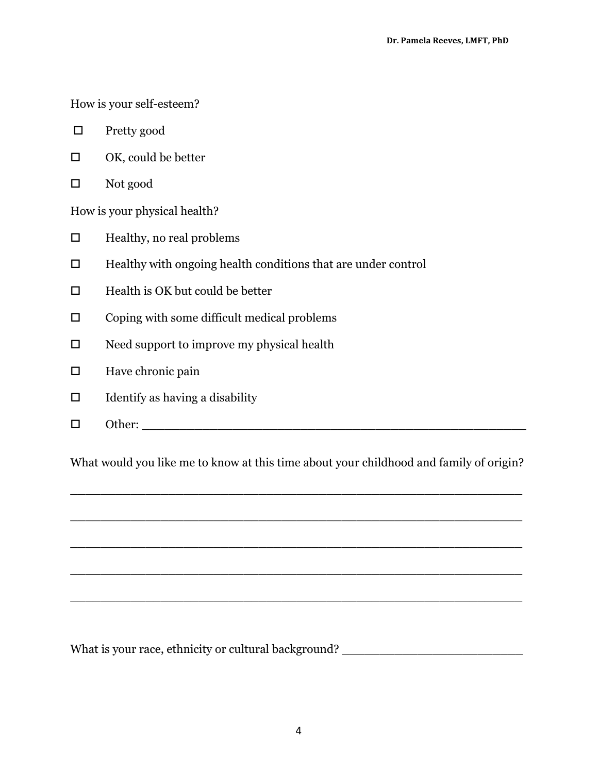How is your self-esteem?

- $\Box$  Pretty good
- $\Box$  OK, could be better
- $\square$  Not good

How is your physical health?

- $\Box$  Healthy, no real problems
- $\Box$  Healthy with ongoing health conditions that are under control
- $\Box$  Health is OK but could be better
- $\square$  Coping with some difficult medical problems
- $\square$  Need support to improve my physical health
- $\square$  Have chronic pain
- $\Box$  Identify as having a disability
- o Other: \_\_\_\_\_\_\_\_\_\_\_\_\_\_\_\_\_\_\_\_\_\_\_\_\_\_\_\_\_\_\_\_\_\_\_\_\_\_\_\_\_\_\_\_\_\_\_\_\_\_\_

What would you like me to know at this time about your childhood and family of origin?

\_\_\_\_\_\_\_\_\_\_\_\_\_\_\_\_\_\_\_\_\_\_\_\_\_\_\_\_\_\_\_\_\_\_\_\_\_\_\_\_\_\_\_\_\_\_\_\_\_\_\_\_\_\_\_\_\_\_\_\_

\_\_\_\_\_\_\_\_\_\_\_\_\_\_\_\_\_\_\_\_\_\_\_\_\_\_\_\_\_\_\_\_\_\_\_\_\_\_\_\_\_\_\_\_\_\_\_\_\_\_\_\_\_\_\_\_\_\_\_\_

\_\_\_\_\_\_\_\_\_\_\_\_\_\_\_\_\_\_\_\_\_\_\_\_\_\_\_\_\_\_\_\_\_\_\_\_\_\_\_\_\_\_\_\_\_\_\_\_\_\_\_\_\_\_\_\_\_\_\_\_

\_\_\_\_\_\_\_\_\_\_\_\_\_\_\_\_\_\_\_\_\_\_\_\_\_\_\_\_\_\_\_\_\_\_\_\_\_\_\_\_\_\_\_\_\_\_\_\_\_\_\_\_\_\_\_\_\_\_\_\_

What is your race, ethnicity or cultural background? \_\_\_\_\_\_\_\_\_\_\_\_\_\_\_\_\_\_\_\_\_\_\_\_\_\_\_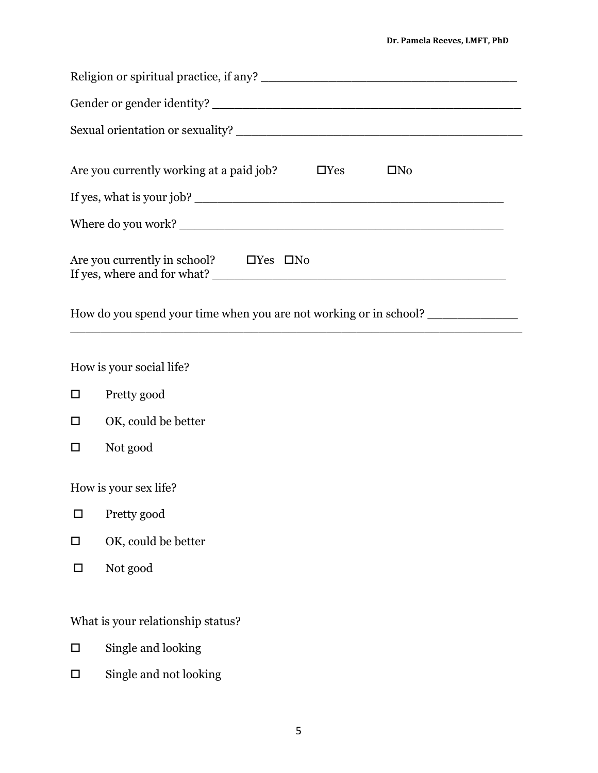| Are you currently working at a paid job?                                                                                              |  | $\Box$ Yes | $\square$ No |  |  |  |
|---------------------------------------------------------------------------------------------------------------------------------------|--|------------|--------------|--|--|--|
| If yes, what is your job?                                                                                                             |  |            |              |  |  |  |
|                                                                                                                                       |  |            |              |  |  |  |
| Are you currently in school? $\Box$ Yes $\Box$ No<br>How do you spend your time when you are not working or in school? ______________ |  |            |              |  |  |  |
|                                                                                                                                       |  |            |              |  |  |  |
| How is your social life?                                                                                                              |  |            |              |  |  |  |
| Pretty good<br>$\Box$                                                                                                                 |  |            |              |  |  |  |
| OK, could be better<br>$\Box$                                                                                                         |  |            |              |  |  |  |
| Not good<br>□                                                                                                                         |  |            |              |  |  |  |
| How is your sex life?                                                                                                                 |  |            |              |  |  |  |

- $\square$  Pretty good
- $\Box$  OK, could be better
- $\square$  Not good

What is your relationship status?

- $\square$  Single and looking
- $\hfill \Box$  <br> Single and not looking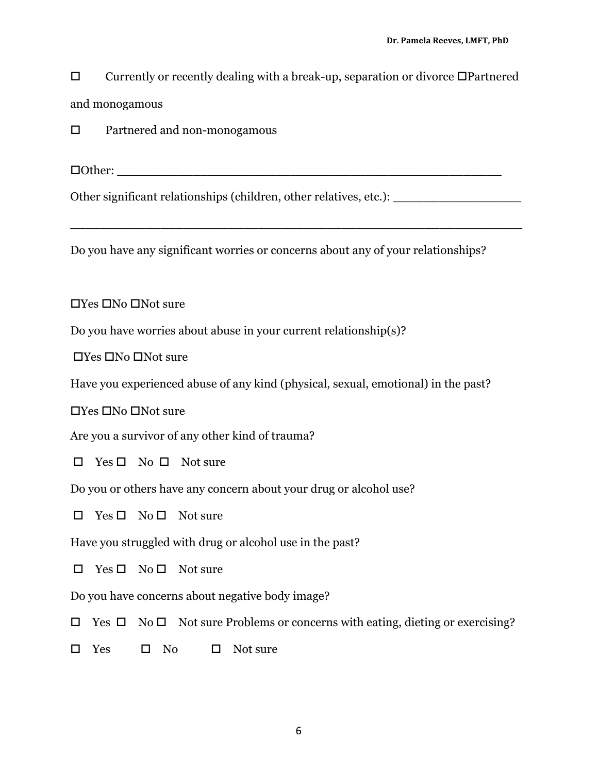$\square$  Currently or recently dealing with a break-up, separation or divorce  $\square$  Partnered and monogamous

 $\square$  Partnered and non-monogamous

 $\Box$  Other:

Other significant relationships (children, other relatives, etc.): \_\_\_\_\_\_\_\_\_\_\_\_\_\_\_\_\_\_\_\_

Do you have any significant worries or concerns about any of your relationships?

\_\_\_\_\_\_\_\_\_\_\_\_\_\_\_\_\_\_\_\_\_\_\_\_\_\_\_\_\_\_\_\_\_\_\_\_\_\_\_\_\_\_\_\_\_\_\_\_\_\_\_\_\_\_\_\_\_\_\_\_

 $\Box$ Yes  $\Box$ No  $\Box$ Not sure

Do you have worries about abuse in your current relationship(s)?

 $\Box$ Yes  $\Box$ No  $\Box$ Not sure

Have you experienced abuse of any kind (physical, sexual, emotional) in the past?

 $\Box$ Yes  $\Box$ No  $\Box$ Not sure

Are you a survivor of any other kind of trauma?

 $\Box$  Yes  $\Box$  No  $\Box$  Not sure

Do you or others have any concern about your drug or alcohol use?

 $\square$  Yes  $\square$  No  $\square$  Not sure

Have you struggled with drug or alcohol use in the past?

 $\square$  Yes  $\square$  No  $\square$  Not sure

Do you have concerns about negative body image?

 $\Box$  Yes  $\Box$  No  $\Box$  Not sure Problems or concerns with eating, dieting or exercising?

 $\square$  Yes  $\square$  No  $\square$  Not sure